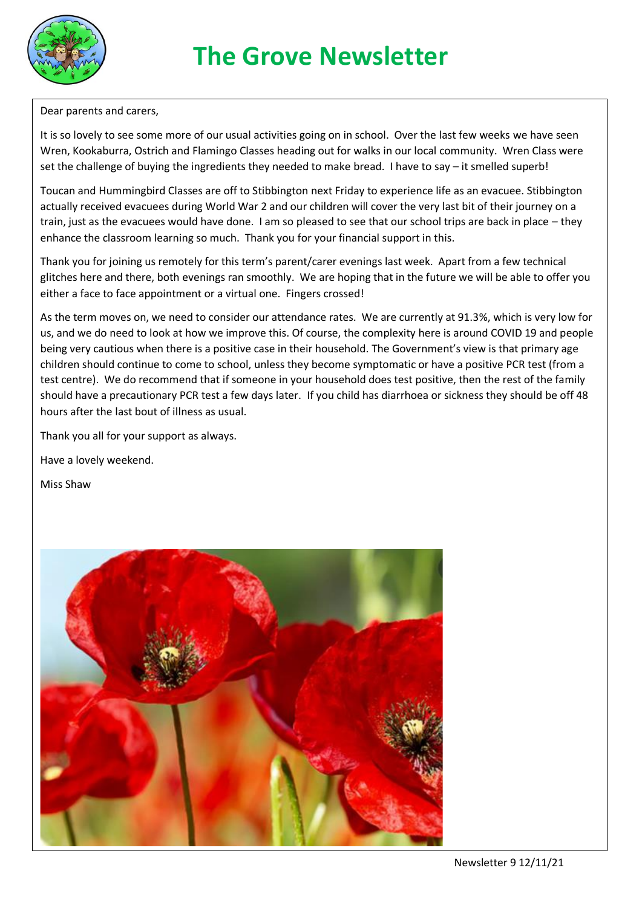

Dear parents and carers,

It is so lovely to see some more of our usual activities going on in school. Over the last few weeks we have seen Wren, Kookaburra, Ostrich and Flamingo Classes heading out for walks in our local community. Wren Class were set the challenge of buying the ingredients they needed to make bread. I have to say – it smelled superb!

Toucan and Hummingbird Classes are off to Stibbington next Friday to experience life as an evacuee. Stibbington actually received evacuees during World War 2 and our children will cover the very last bit of their journey on a train, just as the evacuees would have done. I am so pleased to see that our school trips are back in place – they enhance the classroom learning so much. Thank you for your financial support in this.

Thank you for joining us remotely for this term's parent/carer evenings last week. Apart from a few technical glitches here and there, both evenings ran smoothly. We are hoping that in the future we will be able to offer you either a face to face appointment or a virtual one. Fingers crossed!

As the term moves on, we need to consider our attendance rates. We are currently at 91.3%, which is very low for us, and we do need to look at how we improve this. Of course, the complexity here is around COVID 19 and people being very cautious when there is a positive case in their household. The Government's view is that primary age children should continue to come to school, unless they become symptomatic or have a positive PCR test (from a test centre). We do recommend that if someone in your household does test positive, then the rest of the family should have a precautionary PCR test a few days later. If you child has diarrhoea or sickness they should be off 48 hours after the last bout of illness as usual.

Thank you all for your support as always.

Have a lovely weekend.

Miss Shaw

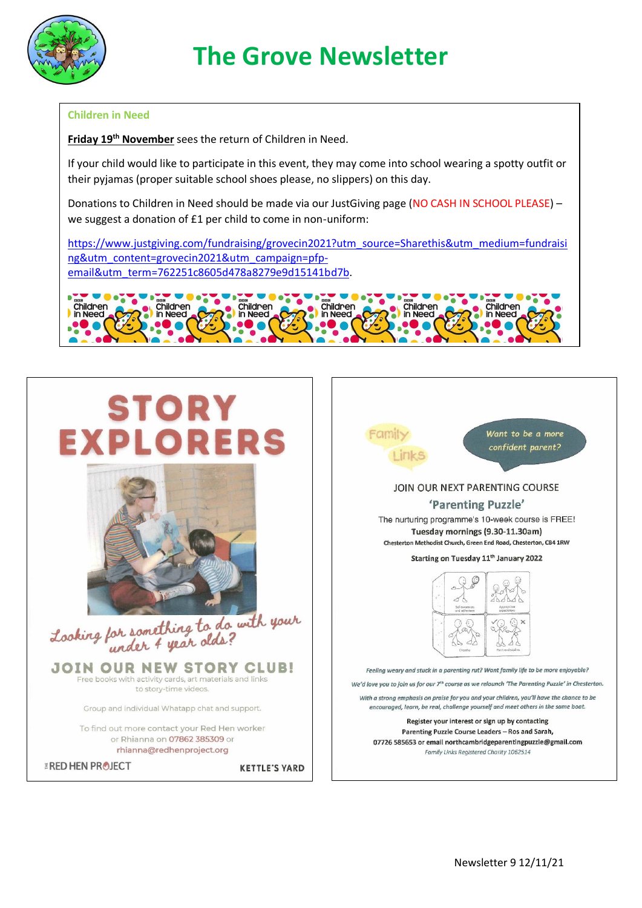

## **The Grove Newsletter**

## **Children in Need**

**Friday 19th November** sees the return of Children in Need.

If your child would like to participate in this event, they may come into school wearing a spotty outfit or their pyjamas (proper suitable school shoes please, no slippers) on this day.

Donations to Children in Need should be made via our JustGiving page (NO CASH IN SCHOOL PLEASE) – we suggest a donation of £1 per child to come in non-uniform:

[https://www.justgiving.com/fundraising/grovecin2021?utm\\_source=Sharethis&utm\\_medium=fundraisi](https://www.justgiving.com/fundraising/grovecin2021?utm_source=Sharethis&utm_medium=fundraising&utm_content=grovecin2021&utm_campaign=pfp-email&utm_term=762251c8605d478a8279e9d15141bd7b) [ng&utm\\_content=grovecin2021&utm\\_campaign=pfp](https://www.justgiving.com/fundraising/grovecin2021?utm_source=Sharethis&utm_medium=fundraising&utm_content=grovecin2021&utm_campaign=pfp-email&utm_term=762251c8605d478a8279e9d15141bd7b)[email&utm\\_term=762251c8605d478a8279e9d15141bd7b.](https://www.justgiving.com/fundraising/grovecin2021?utm_source=Sharethis&utm_medium=fundraising&utm_content=grovecin2021&utm_campaign=pfp-email&utm_term=762251c8605d478a8279e9d15141bd7b)